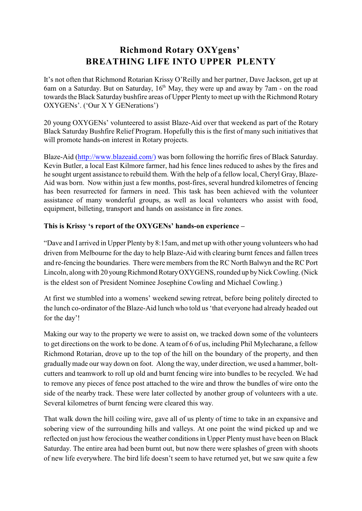## **Richmond Rotary OXYgens' BREATHING LIFE INTO UPPER PLENTY**

It's not often that Richmond Rotarian Krissy O'Reilly and her partner, Dave Jackson, get up at 6am on a Saturday. But on Saturday,  $16<sup>th</sup>$  May, they were up and away by 7am - on the road towards the Black Saturday bushfire areas of Upper Plenty to meet up with the Richmond Rotary OXYGENs'. ('Our X Y GENerations')

20 young OXYGENs' volunteered to assist Blaze-Aid over that weekend as part of the Rotary Black Saturday Bushfire Relief Program. Hopefully this is the first of many such initiatives that will promote hands-on interest in Rotary projects.

Blaze-Aid [\(http://www.blazeaid.com/](http://www.blazeaid.com/)) was born following the horrific fires of Black Saturday. Kevin Butler, a local East Kilmore farmer, had his fence lines reduced to ashes by the fires and he sought urgent assistance to rebuild them. With the help of a fellow local, Cheryl Gray, Blaze-Aid was born. Now within just a few months, post-fires, several hundred kilometres of fencing has been resurrected for farmers in need. This task has been achieved with the volunteer assistance of many wonderful groups, as well as local volunteers who assist with food, equipment, billeting, transport and hands on assistance in fire zones.

## **This is Krissy 's report of the OXYGENs' hands-on experience –**

"Dave and I arrived in Upper Plenty by 8:15am, and met up with other young volunteers who had driven from Melbourne for the day to help Blaze-Aid with clearing burnt fences and fallen trees and re-fencing the boundaries. There were members from the RC North Balwyn and the RC Port Lincoln, along with 20 young Richmond Rotary OXYGENS, rounded up by Nick Cowling. (Nick is the eldest son of President Nominee Josephine Cowling and Michael Cowling.)

At first we stumbled into a womens' weekend sewing retreat, before being politely directed to the lunch co-ordinator of the Blaze-Aid lunch who told us 'that everyone had already headed out for the day'!

Making our way to the property we were to assist on, we tracked down some of the volunteers to get directions on the work to be done. A team of 6 of us, including Phil Mylecharane, a fellow Richmond Rotarian, drove up to the top of the hill on the boundary of the property, and then graduallymade our way down on foot. Along the way, under direction, we used a hammer, boltcutters and teamwork to roll up old and burnt fencing wire into bundles to be recycled. We had to remove any pieces of fence post attached to the wire and throw the bundles of wire onto the side of the nearby track. These were later collected by another group of volunteers with a ute. Several kilometres of burnt fencing were cleared this way.

That walk down the hill coiling wire, gave all of us plenty of time to take in an expansive and sobering view of the surrounding hills and valleys. At one point the wind picked up and we reflected on just how ferocious the weather conditions in Upper Plenty must have been on Black Saturday. The entire area had been burnt out, but now there were splashes of green with shoots of new life everywhere. The bird life doesn't seem to have returned yet, but we saw quite a few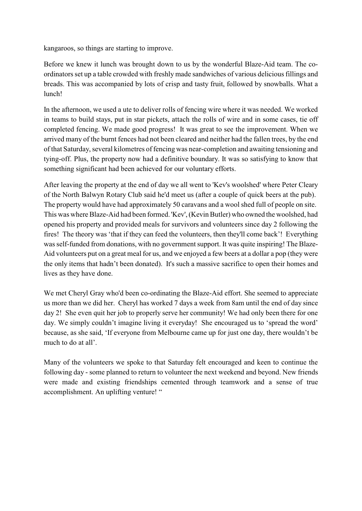kangaroos, so things are starting to improve.

Before we knew it lunch was brought down to us by the wonderful Blaze-Aid team. The coordinators set up a table crowded with freshly made sandwiches of various delicious fillings and breads. This was accompanied by lots of crisp and tasty fruit, followed by snowballs. What a lunch!

In the afternoon, we used a ute to deliver rolls of fencing wire where it was needed. We worked in teams to build stays, put in star pickets, attach the rolls of wire and in some cases, tie off completed fencing. We made good progress! It was great to see the improvement. When we arrived many of the burnt fences had not been cleared and neither had the fallen trees, by the end of that Saturday, several kilometres of fencing was near-completion and awaiting tensioning and tying-off. Plus, the property now had a definitive boundary. It was so satisfying to know that something significant had been achieved for our voluntary efforts.

After leaving the property at the end of day we all went to 'Kev's woolshed' where Peter Cleary of the North Balwyn Rotary Club said he'd meet us (after a couple of quick beers at the pub). The property would have had approximately 50 caravans and a wool shed full of people on site. This was where Blaze-Aid had been formed. 'Kev', (Kevin Butler) who owned the woolshed, had opened his property and provided meals for survivors and volunteers since day 2 following the fires! The theory was 'that if they can feed the volunteers, then they'll come back'! Everything was self-funded from donations, with no government support. It was quite inspiring! The Blaze-Aid volunteers put on a great meal for us, and we enjoyed a few beers at a dollar a pop (they were the only items that hadn't been donated). It's such a massive sacrifice to open their homes and lives as they have done.

We met Cheryl Gray who'd been co-ordinating the Blaze-Aid effort. She seemed to appreciate us more than we did her. Cheryl has worked 7 days a week from 8am until the end of day since day 2! She even quit her job to properly serve her community! We had only been there for one day. We simply couldn't imagine living it everyday! She encouraged us to 'spread the word' because, as she said, 'If everyone from Melbourne came up for just one day, there wouldn't be much to do at all'.

Many of the volunteers we spoke to that Saturday felt encouraged and keen to continue the following day - some planned to return to volunteer the next weekend and beyond. New friends were made and existing friendships cemented through teamwork and a sense of true accomplishment. An uplifting venture! "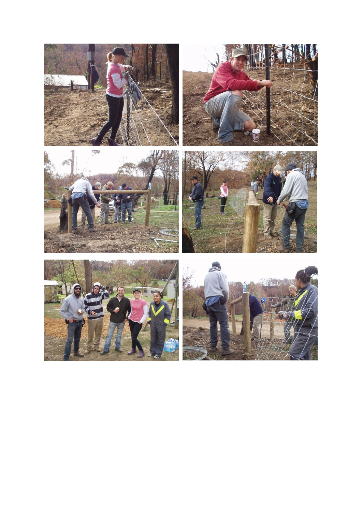